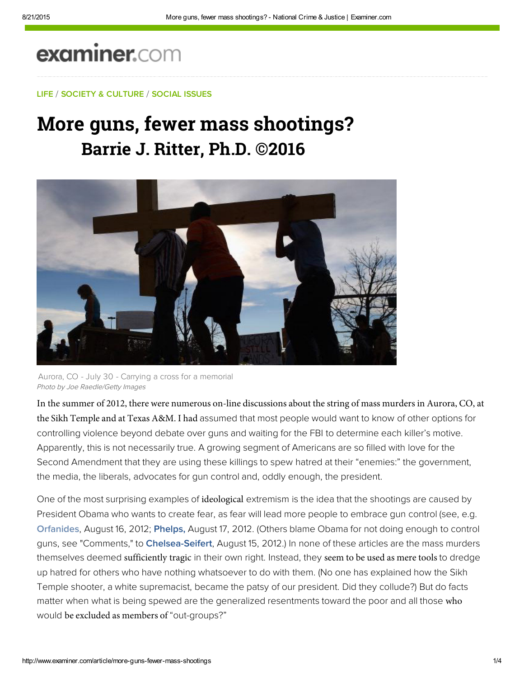# examiner.com

### LIFE / SOCIETY & CULTURE / SOCIAL ISSUES

## More guns, fewer mass shootings? **Barrie J. Ritter, Ph.D. ©2016**



Aurora, CO - July 30 - Carrying a cross for a memorial Photo by Joe Raedle/Getty Images

In the summer of 2012, there were numerous on-line discussions about the string of mass murders in Aurora, CO, at the Sikh Temple and at Texas A&M. I had assumed that most people would want to know of other options for controlling violence beyond debate over guns and waiting for the FBI to determine each killer's motive. Apparently, this is not necessarily true. A growing segment of Americans are so filled with love for the Second Amendment that they are using these killings to spew hatred at their "enemies:" the government, the media, the liberals, advocates for gun control and, oddly enough, the president.

One of the most surprising examples of ideological extremism is the idea that the shootings are caused by President Obama who wants to create fear, as fear will lead more people to embrace gun control (see, e.g. [Orfanides,](https://www.inquisitr.com/2940782/chumlee-arrest-update-corey-harrisons-post-about-gun-laws-likely-irrelevant/) August 16, 2012; Phelps, August 17, 2012. (Others blame Obama for not doing enough to control guns, see "Comments," to Chelsea-Seifert, August 15, 2012.) In none of these articles are the mass murders themselves deemed sufficiently tragic in their own right. Instead, they seem to be used as mere tools to dredge up hatred for others who have nothing whatsoever to do with them. (No one has explained how the Sikh Temple shooter, a white supremacist, became the patsy of our president. Did they collude?) But do facts matter when what is being spewed are the generalized resentments toward the poor and all those who would be excluded as members of "out-groups?"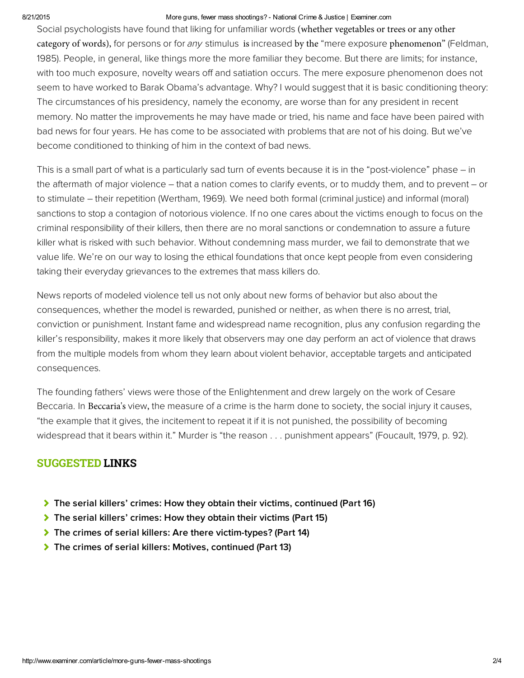#### 8/21/2015 More guns, fewer mass shootings? National Crime & Justice | Examiner.com

Social psychologists have found that liking for unfamiliar words (whether vegetables or trees or any other category of words), for persons or for any stimulus is increased by the "mere exposure phenomenon" (Feldman, 1985). People, in general, like things more the more familiar they become. But there are limits; for instance, with too much exposure, novelty wears off and satiation occurs. The mere exposure phenomenon does not seem to have worked to Barak Obama's advantage. Why? I would suggest that it is basic conditioning theory: The circumstances of his presidency, namely the economy, are worse than for any president in recent memory. No matter the improvements he may have made or tried, his name and face have been paired with bad news for four years. He has come to be associated with problems that are not of his doing. But we've become conditioned to thinking of him in the context of bad news.

This is a small part of what is a particularly sad turn of events because it is in the "post-violence" phase – in the aftermath of major violence – that a nation comes to clarify events, or to muddy them, and to prevent – or to stimulate – their repetition (Wertham, 1969). We need both formal (criminal justice) and informal (moral) sanctions to stop a contagion of notorious violence. If no one cares about the victims enough to focus on the criminal responsibility of their killers, then there are no moral sanctions or condemnation to assure a future killer what is risked with such behavior. Without condemning mass murder, we fail to demonstrate that we value life. We're on our way to losing the ethical foundations that once kept people from even considering taking their everyday grievances to the extremes that mass killers do.

News reports of modeled violence tell us not only about new forms of behavior but also about the consequences, whether the model is rewarded, punished or neither, as when there is no arrest, trial, conviction or punishment. Instant fame and widespread name recognition, plus any confusion regarding the killer's responsibility, makes it more likely that observers may one day perform an act of violence that draws from the multiple models from whom they learn about violent behavior, acceptable targets and anticipated consequences.

The founding fathers' views were those of the Enlightenment and drew largely on the work of Cesare Beccaria. In Beccaria's view, the measure of a crime is the harm done to society, the social injury it causes, "the example that it gives, the incitement to repeat it if it is not punished, the possibility of becoming widespread that it bears within it." Murder is "the reason . . . punishment appears" (Foucault, 1979, p. 92).

### SUGGESTED LINKS

- [The serial killers' crimes: How they obtain their victims, continued \(Part 16\)](http://www.ritterhomicideresearch.com/articles/Part-16.pdf)
- [The serial killers' crimes: How they obtain their victims \(Part 15\)](http://www.ritterhomicideresearch.com/articles/Part-15.pdf)
- [The crimes of serial killers: Are there victim-types? \(Part 14\)](http://www.ritterhomicideresearch.com/articles/Part-14.pdf)
- [The crimes of serial killers: Motives, continued \(Part 13\)](http://www.ritterhomicideresearch.com/articles/Part-13.pdf)